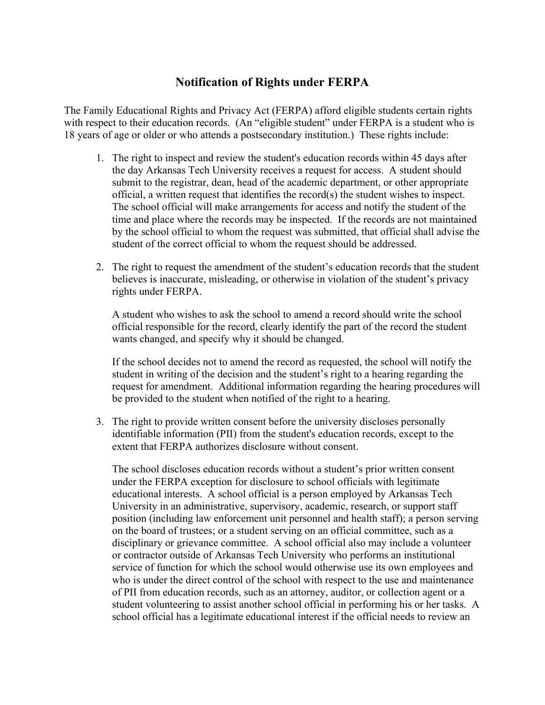## **Notification of Rights under FERPA**

The Family Educational Rights and Privacy Act (FERPA) afford eligible students certain rights with respect to their education records. (An "eligible student" under FERPA is a student who is 18 years of age or older or who attends a postsecondary institution.) These rights include:

- 1. The right to inspect and review the student's education records within 45 days after the day Arkansas Tech University receives a request for access. A student should submit to the registrar, dean, head of the academic department, or other appropriate official, a written request that identifies the record(s) the student wishes to inspect. The school official will make arrangements for access and notify the student of the time and place where the records may be inspected. If the records are not maintained by the school official to whom the request was submitted, that official shall advise the student of the correct official to whom the request should be addressed.
- 2. The right to request the amendment of the student's education records that the student believes is inaccurate, misleading, or otherwise in violation of the student's privacy rights under FERPA.

A student who wishes to ask the school to amend a record should write the school official responsible for the record, clearly identify the part of the record the student wants changed, and specify why it should be changed.

If the school decides not to amend the record as requested, the school will notify the student in writing of the decision and the student's right to a hearing regarding the request for amendment. Additional information regarding the hearing procedures will be provided to the student when notified of the right to a hearing.

3. The right to provide written consent before the university discloses personally identifiable information (PII) from the student's education records, except to the extent that FERPA authorizes disclosure without consent.

The school discloses education records without a student's prior written consent under the FERPA exception for disclosure to school officials with legitimate educational interests. A school official is a person employed by Arkansas Tech University in an administrative, supervisory, academic, research, or support staff position (including law enforcement unit personnel and health staff); a person serving on the board of trustees; or a student serving on an official committee, such as a disciplinary or grievance committee. A school official also may include a volunteer or contractor outside of Arkansas Tech University who performs an institutional service of function for which the school would otherwise use its own employees and who is under the direct control of the school with respect to the use and maintenance of PII from education records, such as an attorney, auditor, or collection agent or a student volunteering to assist another school official in performing his or her tasks. A school official has a legitimate educational interest if the official needs to review an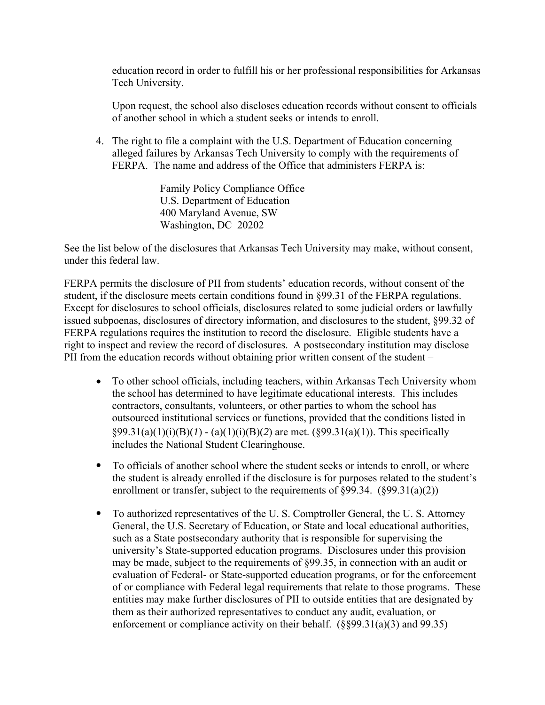education record in order to fulfill his or her professional responsibilities for Arkansas Tech University.

Upon request, the school also discloses education records without consent to officials of another school in which a student seeks or intends to enroll.

4. The right to file a complaint with the U.S. Department of Education concerning alleged failures by Arkansas Tech University to comply with the requirements of FERPA. The name and address of the Office that administers FERPA is:

> Family Policy Compliance Office U.S. Department of Education 400 Maryland Avenue, SW Washington, DC 20202

See the list below of the disclosures that Arkansas Tech University may make, without consent, under this federal law.

FERPA permits the disclosure of PII from students' education records, without consent of the student, if the disclosure meets certain conditions found in §99.31 of the FERPA regulations. Except for disclosures to school officials, disclosures related to some judicial orders or lawfully issued subpoenas, disclosures of directory information, and disclosures to the student, §99.32 of FERPA regulations requires the institution to record the disclosure. Eligible students have a right to inspect and review the record of disclosures. A postsecondary institution may disclose PII from the education records without obtaining prior written consent of the student –

- To other school officials, including teachers, within Arkansas Tech University whom the school has determined to have legitimate educational interests. This includes contractors, consultants, volunteers, or other parties to whom the school has outsourced institutional services or functions, provided that the conditions listed in §99.31(a)(1)(i)(B)(*1*) - (a)(1)(i)(B)(*2*) are met. (§99.31(a)(1)). This specifically includes the National Student Clearinghouse.
- To officials of another school where the student seeks or intends to enroll, or where the student is already enrolled if the disclosure is for purposes related to the student's enrollment or transfer, subject to the requirements of  $\{99.34. \ (\{99.31(a)(2)\})$
- To authorized representatives of the U. S. Comptroller General, the U. S. Attorney General, the U.S. Secretary of Education, or State and local educational authorities, such as a State postsecondary authority that is responsible for supervising the university's State-supported education programs. Disclosures under this provision may be made, subject to the requirements of §99.35, in connection with an audit or evaluation of Federal- or State-supported education programs, or for the enforcement of or compliance with Federal legal requirements that relate to those programs. These entities may make further disclosures of PII to outside entities that are designated by them as their authorized representatives to conduct any audit, evaluation, or enforcement or compliance activity on their behalf.  $(\S$ §99.31(a)(3) and 99.35)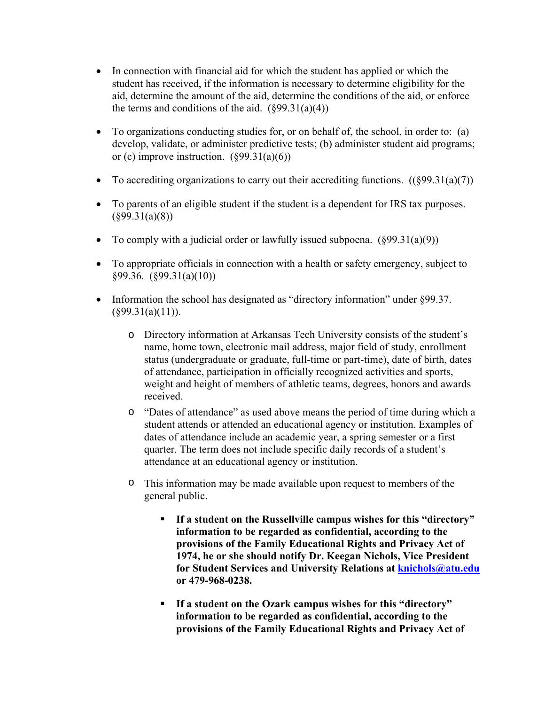- In connection with financial aid for which the student has applied or which the student has received, if the information is necessary to determine eligibility for the aid, determine the amount of the aid, determine the conditions of the aid, or enforce the terms and conditions of the aid.  $(\frac{699.31(a)(4)}{4})$
- To organizations conducting studies for, or on behalf of, the school, in order to: (a) develop, validate, or administer predictive tests; (b) administer student aid programs; or (c) improve instruction.  $(\S 99.31(a)(6))$
- To accrediting organizations to carry out their accrediting functions.  $((\S 99.31(a)(7)))$
- To parents of an eligible student if the student is a dependent for IRS tax purposes.  $($ §99.31(a)(8))
- To comply with a judicial order or lawfully issued subpoena.  $(\S 99.31(a)(9))$
- To appropriate officials in connection with a health or safety emergency, subject to §99.36. (§99.31(a)(10))
- Information the school has designated as "directory information" under §99.37.  $(\S 99.31(a)(11)).$ 
	- o Directory information at Arkansas Tech University consists of the student's name, home town, electronic mail address, major field of study, enrollment status (undergraduate or graduate, full-time or part-time), date of birth, dates of attendance, participation in officially recognized activities and sports, weight and height of members of athletic teams, degrees, honors and awards received.
	- o "Dates of attendance" as used above means the period of time during which a student attends or attended an educational agency or institution. Examples of dates of attendance include an academic year, a spring semester or a first quarter. The term does not include specific daily records of a student's attendance at an educational agency or institution.
	- o This information may be made available upon request to members of the general public.
		- **If a student on the Russellville campus wishes for this "directory" information to be regarded as confidential, according to the provisions of the Family Educational Rights and Privacy Act of 1974, he or she should notify Dr. Keegan Nichols, Vice President for Student Services and University Relations at knichols@atu.edu or 479-968-0238.**
		- **If a student on the Ozark campus wishes for this "directory" information to be regarded as confidential, according to the provisions of the Family Educational Rights and Privacy Act of**